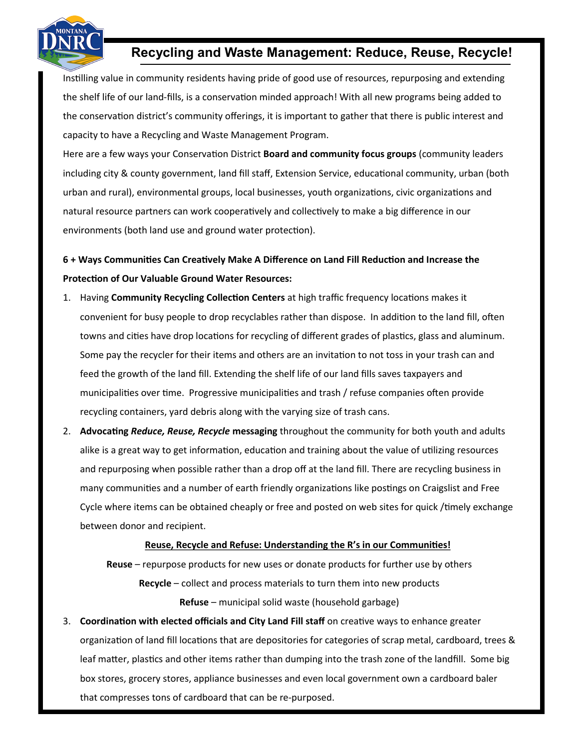

## **Recycling and Waste Management: Reduce, Reuse, Recycle!**

Instilling value in community residents having pride of good use of resources, repurposing and extending the shelf life of our land-fills, is a conservation minded approach! With all new programs being added to the conservation district's community offerings, it is important to gather that there is public interest and capacity to have a Recycling and Waste Management Program.

Here are a few ways your Conservation District **Board and community focus groups** (community leaders including city & county government, land fill staff, Extension Service, educational community, urban (both urban and rural), environmental groups, local businesses, youth organizations, civic organizations and natural resource partners can work cooperatively and collectively to make a big difference in our environments (both land use and ground water protection).

## **6 + Ways Communities Can Creatively Make A Difference on Land Fill Reduction and Increase the Protection of Our Valuable Ground Water Resources:**

- 1. Having **Community Recycling Collection Centers** at high traffic frequency locations makes it convenient for busy people to drop recyclables rather than dispose. In addition to the land fill, often towns and cities have drop locations for recycling of different grades of plastics, glass and aluminum. Some pay the recycler for their items and others are an invitation to not toss in your trash can and feed the growth of the land fill. Extending the shelf life of our land fills saves taxpayers and municipalities over time. Progressive municipalities and trash / refuse companies often provide recycling containers, yard debris along with the varying size of trash cans.
- 2. **Advocating** *Reduce, Reuse, Recycle* **messaging** throughout the community for both youth and adults alike is a great way to get information, education and training about the value of utilizing resources and repurposing when possible rather than a drop off at the land fill. There are recycling business in many communities and a number of earth friendly organizations like postings on Craigslist and Free Cycle where items can be obtained cheaply or free and posted on web sites for quick /timely exchange between donor and recipient.

## **Reuse, Recycle and Refuse: Understanding the R's in our Communities!**

**Reuse** – repurpose products for new uses or donate products for further use by others **Recycle** – collect and process materials to turn them into new products **Refuse** – municipal solid waste (household garbage)

3. **Coordination with elected officials and City Land Fill staff** on creative ways to enhance greater organization of land fill locations that are depositories for categories of scrap metal, cardboard, trees & leaf matter, plastics and other items rather than dumping into the trash zone of the landfill. Some big box stores, grocery stores, appliance businesses and even local government own a cardboard baler that compresses tons of cardboard that can be re-purposed.